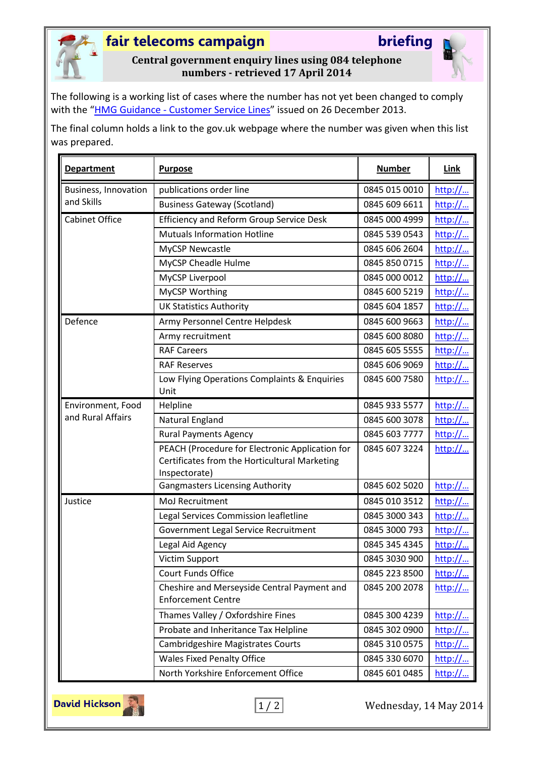

## **fair telecoms campaign briefing**

### **Central government enquiry lines using 084 telephone numbers - retrieved 17 April 2014**

The following is a working list of cases where the number has not yet been changed to comply with the "HMG Guidance - [Customer Service Lines](https://www.gov.uk/government/uploads/system/uploads/attachment_data/file/268785/hmg-guidance-customer-service-lines.pdf)" issued on 26 December 2013.

The final column holds a link to the gov.uk webpage where the number was given when this list was prepared.

| <b>Department</b>                  | <b>Purpose</b>                                                                                                    | <b>Number</b> | <b>Link</b> |
|------------------------------------|-------------------------------------------------------------------------------------------------------------------|---------------|-------------|
| Business, Innovation<br>and Skills | publications order line                                                                                           | 0845 015 0010 | http://     |
|                                    | <b>Business Gateway (Scotland)</b>                                                                                | 0845 609 6611 | http://     |
| Cabinet Office                     | <b>Efficiency and Reform Group Service Desk</b>                                                                   | 0845 000 4999 | http://     |
|                                    | <b>Mutuals Information Hotline</b>                                                                                | 0845 539 0543 | http://     |
|                                    | <b>MyCSP Newcastle</b>                                                                                            | 0845 606 2604 | http://     |
|                                    | MyCSP Cheadle Hulme                                                                                               | 0845 850 0715 | http://     |
|                                    | MyCSP Liverpool                                                                                                   | 0845 000 0012 | http://     |
|                                    | MyCSP Worthing                                                                                                    | 0845 600 5219 | http://     |
|                                    | <b>UK Statistics Authority</b>                                                                                    | 0845 604 1857 | http://     |
| Defence                            | Army Personnel Centre Helpdesk                                                                                    | 0845 600 9663 | http://     |
|                                    | Army recruitment                                                                                                  | 0845 600 8080 | http://     |
|                                    | <b>RAF Careers</b>                                                                                                | 0845 605 5555 | http://     |
|                                    | <b>RAF Reserves</b>                                                                                               | 0845 606 9069 | http://     |
|                                    | Low Flying Operations Complaints & Enquiries<br>Unit                                                              | 0845 600 7580 | http://     |
| Environment, Food                  | Helpline                                                                                                          | 0845 933 5577 | http://     |
| and Rural Affairs                  | Natural England                                                                                                   | 0845 600 3078 | http://     |
|                                    | <b>Rural Payments Agency</b>                                                                                      | 0845 603 7777 | http://     |
|                                    | PEACH (Procedure for Electronic Application for<br>Certificates from the Horticultural Marketing<br>Inspectorate) | 0845 607 3224 | http://     |
|                                    | <b>Gangmasters Licensing Authority</b>                                                                            | 0845 602 5020 | http://     |
| Justice                            | MoJ Recruitment                                                                                                   | 0845 010 3512 | http://     |
|                                    | Legal Services Commission leafletline                                                                             | 0845 3000 343 | http://     |
|                                    | Government Legal Service Recruitment                                                                              | 0845 3000 793 | http://     |
|                                    | Legal Aid Agency                                                                                                  | 0845 345 4345 | http://     |
|                                    | Victim Support                                                                                                    | 0845 3030 900 | http://     |
|                                    | <b>Court Funds Office</b>                                                                                         | 0845 223 8500 | http://     |
|                                    | Cheshire and Merseyside Central Payment and<br><b>Enforcement Centre</b>                                          | 0845 200 2078 | http://     |
|                                    | Thames Valley / Oxfordshire Fines                                                                                 | 0845 300 4239 | http://     |
|                                    | Probate and Inheritance Tax Helpline                                                                              | 0845 302 0900 | http://     |
|                                    | <b>Cambridgeshire Magistrates Courts</b>                                                                          | 0845 310 0575 | http://     |
|                                    | <b>Wales Fixed Penalty Office</b>                                                                                 | 0845 330 6070 | http://     |
|                                    | North Yorkshire Enforcement Office                                                                                | 0845 601 0485 | http://     |



 $\boxed{1/2}$  Wednesday, 14 May 2014